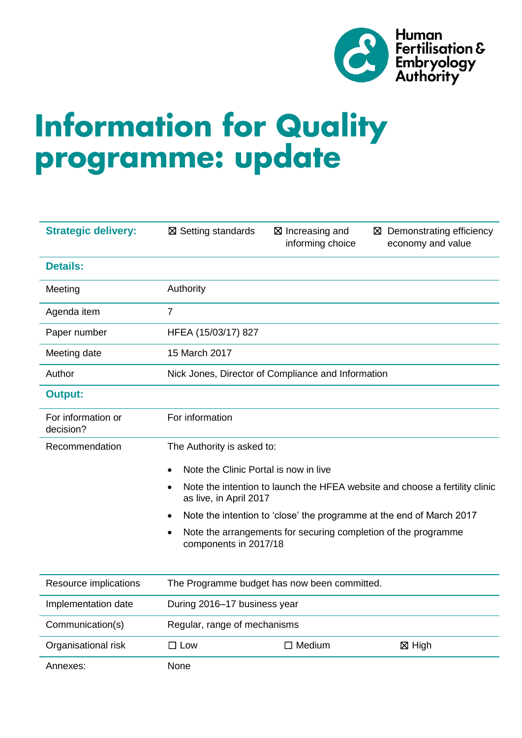

# **Information for Quality** programme: update

| <b>Strategic delivery:</b>      | ⊠ Setting standards                                                                                                                                                                                     | ⊠ Increasing and<br>informing choice                           | ⊠ Demonstrating efficiency<br>economy and value |  |  |  |  |  |
|---------------------------------|---------------------------------------------------------------------------------------------------------------------------------------------------------------------------------------------------------|----------------------------------------------------------------|-------------------------------------------------|--|--|--|--|--|
| <b>Details:</b>                 |                                                                                                                                                                                                         |                                                                |                                                 |  |  |  |  |  |
| Meeting                         | Authority                                                                                                                                                                                               |                                                                |                                                 |  |  |  |  |  |
| Agenda item                     | $\overline{7}$                                                                                                                                                                                          |                                                                |                                                 |  |  |  |  |  |
| Paper number                    | HFEA (15/03/17) 827                                                                                                                                                                                     |                                                                |                                                 |  |  |  |  |  |
| Meeting date                    | 15 March 2017                                                                                                                                                                                           |                                                                |                                                 |  |  |  |  |  |
| Author                          | Nick Jones, Director of Compliance and Information                                                                                                                                                      |                                                                |                                                 |  |  |  |  |  |
| <b>Output:</b>                  |                                                                                                                                                                                                         |                                                                |                                                 |  |  |  |  |  |
| For information or<br>decision? | For information                                                                                                                                                                                         |                                                                |                                                 |  |  |  |  |  |
| Recommendation                  | The Authority is asked to:                                                                                                                                                                              |                                                                |                                                 |  |  |  |  |  |
|                                 | Note the Clinic Portal is now in live                                                                                                                                                                   |                                                                |                                                 |  |  |  |  |  |
|                                 | Note the intention to launch the HFEA website and choose a fertility clinic<br>$\bullet$<br>as live, in April 2017<br>Note the intention to 'close' the programme at the end of March 2017<br>$\bullet$ |                                                                |                                                 |  |  |  |  |  |
|                                 |                                                                                                                                                                                                         |                                                                |                                                 |  |  |  |  |  |
|                                 | $\bullet$<br>components in 2017/18                                                                                                                                                                      | Note the arrangements for securing completion of the programme |                                                 |  |  |  |  |  |
| Resource implications           | The Programme budget has now been committed.                                                                                                                                                            |                                                                |                                                 |  |  |  |  |  |
| Implementation date             | During 2016-17 business year                                                                                                                                                                            |                                                                |                                                 |  |  |  |  |  |
| Communication(s)                | Regular, range of mechanisms                                                                                                                                                                            |                                                                |                                                 |  |  |  |  |  |
| Organisational risk             | $\square$ Low                                                                                                                                                                                           | $\Box$ Medium<br>⊠ High                                        |                                                 |  |  |  |  |  |
| Annexes:                        | None                                                                                                                                                                                                    |                                                                |                                                 |  |  |  |  |  |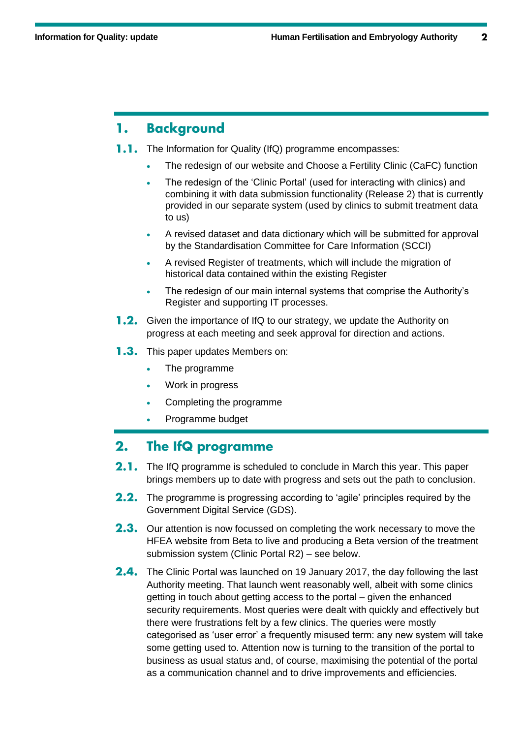## **Background** 1.

- $1.1.$ The Information for Quality (IfQ) programme encompasses:
	- The redesign of our website and Choose a Fertility Clinic (CaFC) function
	- The redesign of the 'Clinic Portal' (used for interacting with clinics) and combining it with data submission functionality (Release 2) that is currently provided in our separate system (used by clinics to submit treatment data to us)
	- A revised dataset and data dictionary which will be submitted for approval by the Standardisation Committee for Care Information (SCCI)
	- A revised Register of treatments, which will include the migration of historical data contained within the existing Register
	- The redesign of our main internal systems that comprise the Authority's Register and supporting IT processes.
- **1.2.** Given the importance of IfQ to our strategy, we update the Authority on progress at each meeting and seek approval for direction and actions.
- **1.3.** This paper updates Members on:
	- The programme
	- Work in progress
	- Completing the programme
	- Programme budget

#### $2.$ The IfQ programme

- 2.1. The IfQ programme is scheduled to conclude in March this year. This paper brings members up to date with progress and sets out the path to conclusion.
- 2.2. The programme is progressing according to 'agile' principles required by the Government Digital Service (GDS).
- **2.3.** Our attention is now focussed on completing the work necessary to move the HFEA website from Beta to live and producing a Beta version of the treatment submission system (Clinic Portal R2) – see below.
- 2.4. The Clinic Portal was launched on 19 January 2017, the day following the last Authority meeting. That launch went reasonably well, albeit with some clinics getting in touch about getting access to the portal – given the enhanced security requirements. Most queries were dealt with quickly and effectively but there were frustrations felt by a few clinics. The queries were mostly categorised as 'user error' a frequently misused term: any new system will take some getting used to. Attention now is turning to the transition of the portal to business as usual status and, of course, maximising the potential of the portal as a communication channel and to drive improvements and efficiencies.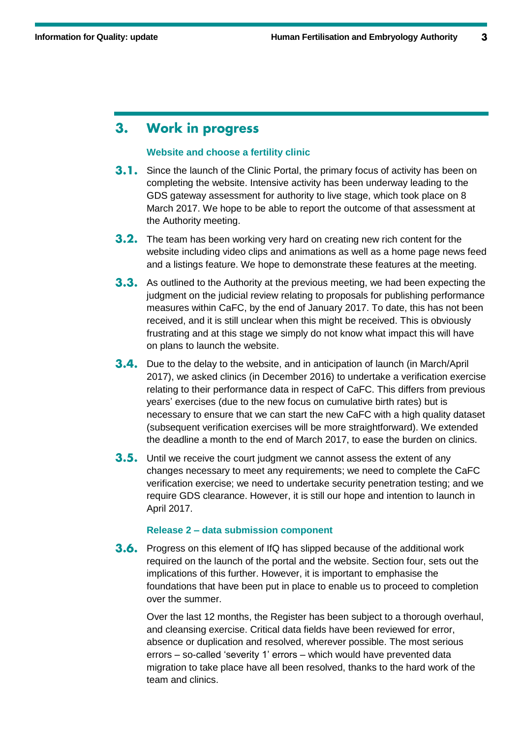## **Work in progress** 3.

## **Website and choose a fertility clinic**

- **3.1.** Since the launch of the Clinic Portal, the primary focus of activity has been on completing the website. Intensive activity has been underway leading to the GDS gateway assessment for authority to live stage, which took place on 8 March 2017. We hope to be able to report the outcome of that assessment at the Authority meeting.
- 3.2. The team has been working very hard on creating new rich content for the website including video clips and animations as well as a home page news feed and a listings feature. We hope to demonstrate these features at the meeting.
- **3.3.** As outlined to the Authority at the previous meeting, we had been expecting the judgment on the judicial review relating to proposals for publishing performance measures within CaFC, by the end of January 2017. To date, this has not been received, and it is still unclear when this might be received. This is obviously frustrating and at this stage we simply do not know what impact this will have on plans to launch the website.
- **3.4.** Due to the delay to the website, and in anticipation of launch (in March/April 2017), we asked clinics (in December 2016) to undertake a verification exercise relating to their performance data in respect of CaFC. This differs from previous years' exercises (due to the new focus on cumulative birth rates) but is necessary to ensure that we can start the new CaFC with a high quality dataset (subsequent verification exercises will be more straightforward). We extended the deadline a month to the end of March 2017, to ease the burden on clinics.
- **3.5.** Until we receive the court judgment we cannot assess the extent of any changes necessary to meet any requirements; we need to complete the CaFC verification exercise; we need to undertake security penetration testing; and we require GDS clearance. However, it is still our hope and intention to launch in April 2017.

## **Release 2 – data submission component**

**3.6.** Progress on this element of IfQ has slipped because of the additional work required on the launch of the portal and the website. Section four, sets out the implications of this further. However, it is important to emphasise the foundations that have been put in place to enable us to proceed to completion over the summer.

Over the last 12 months, the Register has been subject to a thorough overhaul, and cleansing exercise. Critical data fields have been reviewed for error, absence or duplication and resolved, wherever possible. The most serious errors – so-called 'severity 1' errors – which would have prevented data migration to take place have all been resolved, thanks to the hard work of the team and clinics.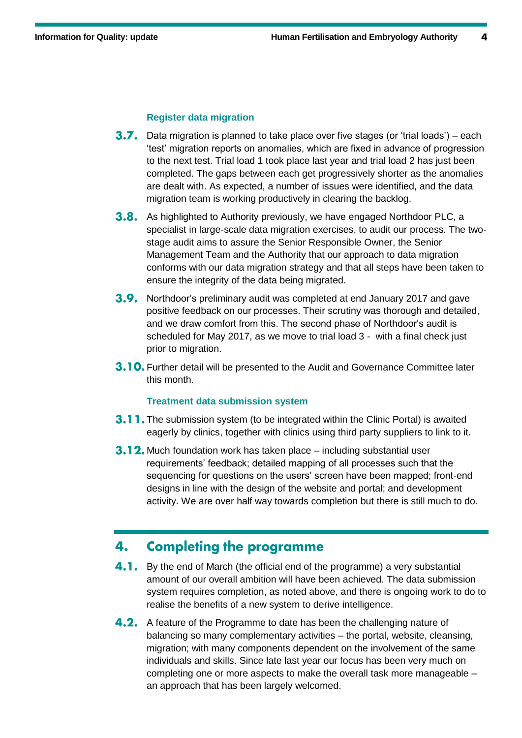# **Register data migration**

- **3.7.** Data migration is planned to take place over five stages (or 'trial loads') each 'test' migration reports on anomalies, which are fixed in advance of progression to the next test. Trial load 1 took place last year and trial load 2 has just been completed. The gaps between each get progressively shorter as the anomalies are dealt with. As expected, a number of issues were identified, and the data migration team is working productively in clearing the backlog.
- **3.8.** As highlighted to Authority previously, we have engaged Northdoor PLC, a specialist in large-scale data migration exercises, to audit our process. The twostage audit aims to assure the Senior Responsible Owner, the Senior Management Team and the Authority that our approach to data migration conforms with our data migration strategy and that all steps have been taken to ensure the integrity of the data being migrated.
- **3.9.** Northdoor's preliminary audit was completed at end January 2017 and gave positive feedback on our processes. Their scrutiny was thorough and detailed, and we draw comfort from this. The second phase of Northdoor's audit is scheduled for May 2017, as we move to trial load 3 - with a final check just prior to migration.
- **3.10.** Further detail will be presented to the Audit and Governance Committee later this month.

## **Treatment data submission system**

- **3.11.** The submission system (to be integrated within the Clinic Portal) is awaited eagerly by clinics, together with clinics using third party suppliers to link to it.
- **3.12.** Much foundation work has taken place including substantial user requirements' feedback; detailed mapping of all processes such that the sequencing for questions on the users' screen have been mapped; front-end designs in line with the design of the website and portal; and development activity. We are over half way towards completion but there is still much to do.

## **Completing the programme** 4.

- 4.1. By the end of March (the official end of the programme) a very substantial amount of our overall ambition will have been achieved. The data submission system requires completion, as noted above, and there is ongoing work to do to realise the benefits of a new system to derive intelligence.
- **4.2.** A feature of the Programme to date has been the challenging nature of balancing so many complementary activities – the portal, website, cleansing, migration; with many components dependent on the involvement of the same individuals and skills. Since late last year our focus has been very much on completing one or more aspects to make the overall task more manageable – an approach that has been largely welcomed.